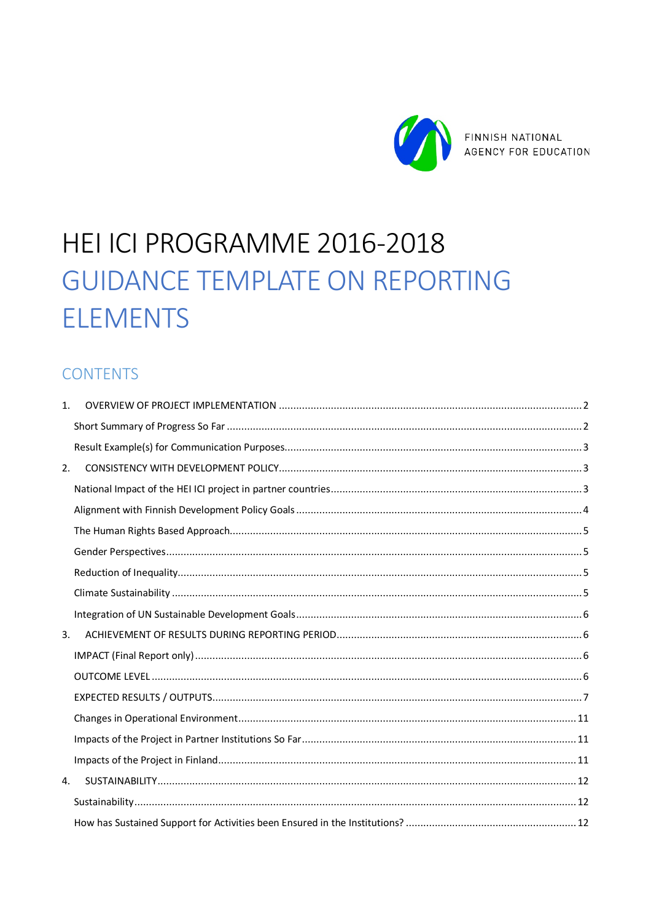

# HEI ICI PROGRAMME 2016-2018 **GUIDANCE TEMPLATE ON REPORTING ELEMENTS**

### **CONTENTS**

| 1. |  |
|----|--|
|    |  |
|    |  |
| 2. |  |
|    |  |
|    |  |
|    |  |
|    |  |
|    |  |
|    |  |
|    |  |
| 3. |  |
|    |  |
|    |  |
|    |  |
|    |  |
|    |  |
|    |  |
| 4. |  |
|    |  |
|    |  |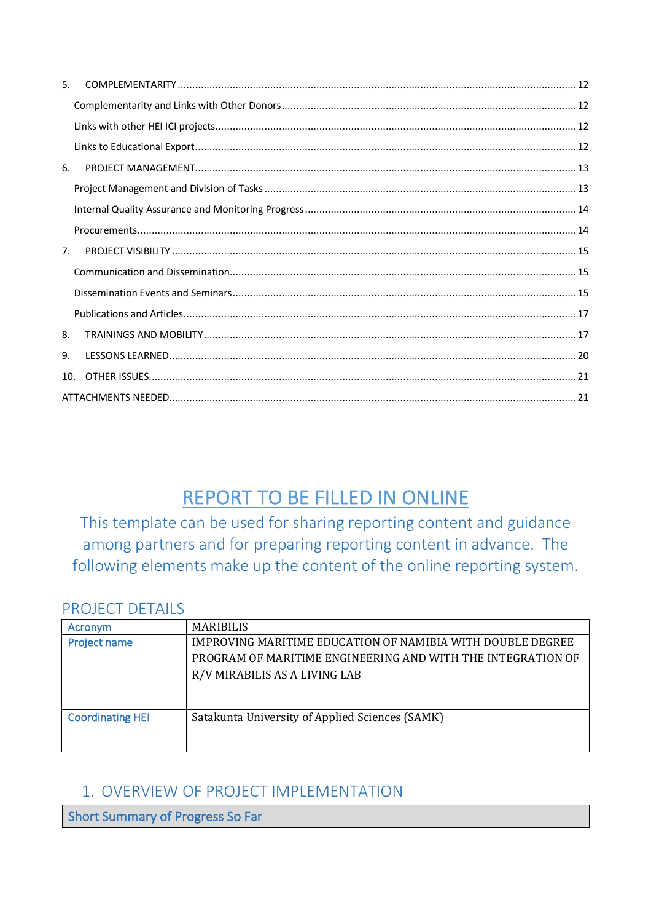| 5.             |  |
|----------------|--|
|                |  |
|                |  |
|                |  |
| 6.             |  |
|                |  |
|                |  |
|                |  |
| 7 <sub>1</sub> |  |
|                |  |
|                |  |
|                |  |
| 8.             |  |
| 9.             |  |
| 10.            |  |
|                |  |

## REPORT TO BE FILLED IN ONLINE

This template can be used for sharing reporting content and guidance among partners and for preparing reporting content in advance. The following elements make up the content of the online reporting system.

### PROJECT DETAILS

| Acronym                 | <b>MARIBILIS</b>                                            |  |  |  |  |
|-------------------------|-------------------------------------------------------------|--|--|--|--|
| <b>Project name</b>     | IMPROVING MARITIME EDUCATION OF NAMIBIA WITH DOUBLE DEGREE  |  |  |  |  |
|                         | PROGRAM OF MARITIME ENGINEERING AND WITH THE INTEGRATION OF |  |  |  |  |
|                         | R/V MIRABILIS AS A LIVING LAB                               |  |  |  |  |
|                         |                                                             |  |  |  |  |
|                         |                                                             |  |  |  |  |
| <b>Coordinating HEI</b> | Satakunta University of Applied Sciences (SAMK)             |  |  |  |  |
|                         |                                                             |  |  |  |  |
|                         |                                                             |  |  |  |  |

### 1. OVERVIEW OF PROJECT IMPLEMENTATION

**Short Summary of Progress So Far**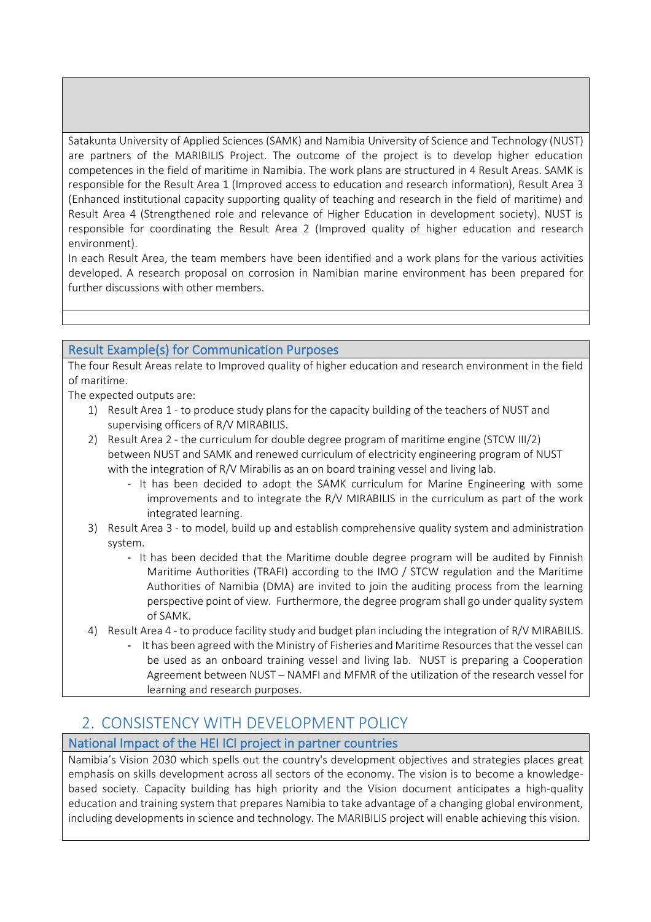Satakunta University of Applied Sciences (SAMK) and Namibia University of Science and Technology (NUST) are partners of the MARIBILIS Project. The outcome of the project is to develop higher education competences in the field of maritime in Namibia. The work plans are structured in 4 Result Areas. SAMK is responsible for the Result Area 1 (Improved access to education and research information), Result Area 3 (Enhanced institutional capacity supporting quality of teaching and research in the field of maritime) and Result Area 4 (Strengthened role and relevance of Higher Education in development society). NUST is responsible for coordinating the Result Area 2 (Improved quality of higher education and research environment).

In each Result Area, the team members have been identified and a work plans for the various activities developed. A research proposal on corrosion in Namibian marine environment has been prepared for further discussions with other members.

#### Result Example(s) for Communication Purposes

The four Result Areas relate to Improved quality of higher education and research environment in the field of maritime.

The expected outputs are:

- 1) Result Area 1 to produce study plans for the capacity building of the teachers of NUST and supervising officers of R/V MIRABILIS.
- 2) Result Area 2 the curriculum for double degree program of maritime engine (STCW III/2) between NUST and SAMK and renewed curriculum of electricity engineering program of NUST with the integration of R/V Mirabilis as an on board training vessel and living lab.
	- It has been decided to adopt the SAMK curriculum for Marine Engineering with some improvements and to integrate the R/V MIRABILIS in the curriculum as part of the work integrated learning.
- 3) Result Area 3 to model, build up and establish comprehensive quality system and administration system.
	- It has been decided that the Maritime double degree program will be audited by Finnish Maritime Authorities (TRAFI) according to the IMO / STCW regulation and the Maritime Authorities of Namibia (DMA) are invited to join the auditing process from the learning perspective point of view. Furthermore, the degree program shall go under quality system of SAMK.
- 4) Result Area 4 to produce facility study and budget plan including the integration of R/V MIRABILIS.
	- It has been agreed with the Ministry of Fisheries and Maritime Resources that the vessel can be used as an onboard training vessel and living lab. NUST is preparing a Cooperation Agreement between NUST – NAMFI and MFMR of the utilization of the research vessel for learning and research purposes.

### 2. CONSISTENCY WITH DEVELOPMENT POLICY

#### National Impact of the HEI ICI project in partner countries

Namibia's Vision 2030 which spells out the country's development objectives and strategies places great emphasis on skills development across all sectors of the economy. The vision is to become a knowledgebased society. Capacity building has high priority and the Vision document anticipates a high-quality education and training system that prepares Namibia to take advantage of a changing global environment, including developments in science and technology. The MARIBILIS project will enable achieving this vision.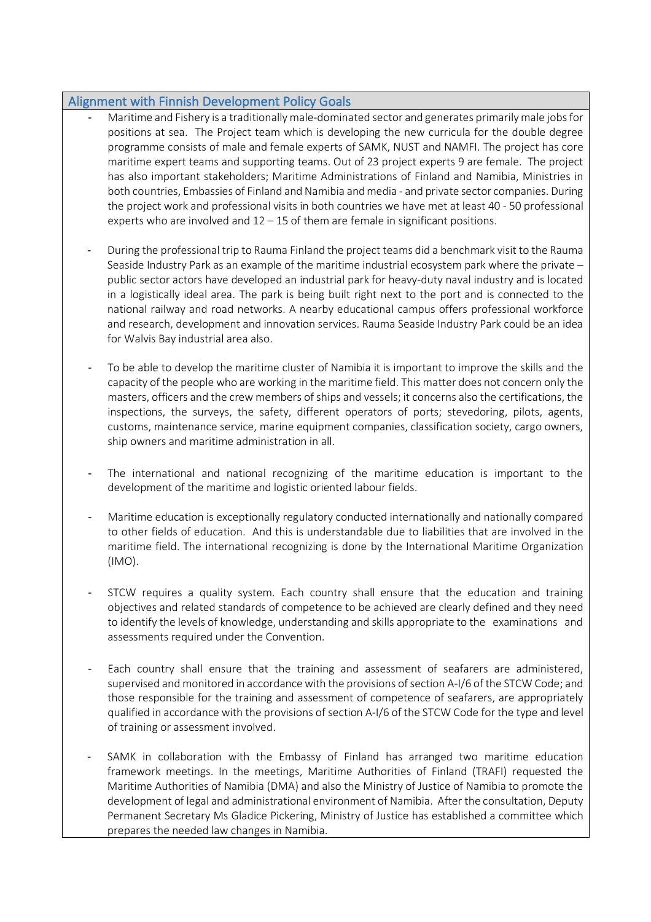#### Alignment with Finnish Development Policy Goals

- Maritime and Fishery is a traditionally male-dominated sector and generates primarily male jobs for positions at sea. The Project team which is developing the new curricula for the double degree programme consists of male and female experts of SAMK, NUST and NAMFI. The project has core maritime expert teams and supporting teams. Out of 23 project experts 9 are female. The project has also important stakeholders; Maritime Administrations of Finland and Namibia, Ministries in both countries, Embassies of Finland and Namibia and media - and private sector companies. During the project work and professional visits in both countries we have met at least 40 - 50 professional experts who are involved and 12 – 15 of them are female in significant positions.
- During the professional trip to Rauma Finland the project teams did a benchmark visit to the Rauma Seaside Industry Park as an example of the maritime industrial ecosystem park where the private – public sector actors have developed an industrial park for heavy-duty naval industry and is located in a logistically ideal area. The park is being built right next to the port and is connected to the national railway and road networks. A nearby educational campus offers professional workforce and research, development and innovation services. Rauma Seaside Industry Park could be an idea for Walvis Bay industrial area also.
- To be able to develop the maritime cluster of Namibia it is important to improve the skills and the capacity of the people who are working in the maritime field. This matter does not concern only the masters, officers and the crew members of ships and vessels; it concerns also the certifications, the inspections, the surveys, the safety, different operators of ports; stevedoring, pilots, agents, customs, maintenance service, marine equipment companies, classification society, cargo owners, ship owners and maritime administration in all.
- The international and national recognizing of the maritime education is important to the development of the maritime and logistic oriented labour fields.
- Maritime education is exceptionally regulatory conducted internationally and nationally compared to other fields of education. And this is understandable due to liabilities that are involved in the maritime field. The international recognizing is done by the International Maritime Organization (IMO).
- STCW requires a quality system. Each country shall ensure that the education and training objectives and related standards of competence to be achieved are clearly defined and they need to identify the levels of knowledge, understanding and skills appropriate to the examinations and assessments required under the Convention.
- Each country shall ensure that the training and assessment of seafarers are administered, supervised and monitored in accordance with the provisions of section A-I/6 of the STCW Code; and those responsible for the training and assessment of competence of seafarers, are appropriately qualified in accordance with the provisions of section A-I/6 of the STCW Code for the type and level of training or assessment involved.
- SAMK in collaboration with the Embassy of Finland has arranged two maritime education framework meetings. In the meetings, Maritime Authorities of Finland (TRAFI) requested the Maritime Authorities of Namibia (DMA) and also the Ministry of Justice of Namibia to promote the development of legal and administrational environment of Namibia. After the consultation, Deputy Permanent Secretary Ms Gladice Pickering, Ministry of Justice has established a committee which prepares the needed law changes in Namibia.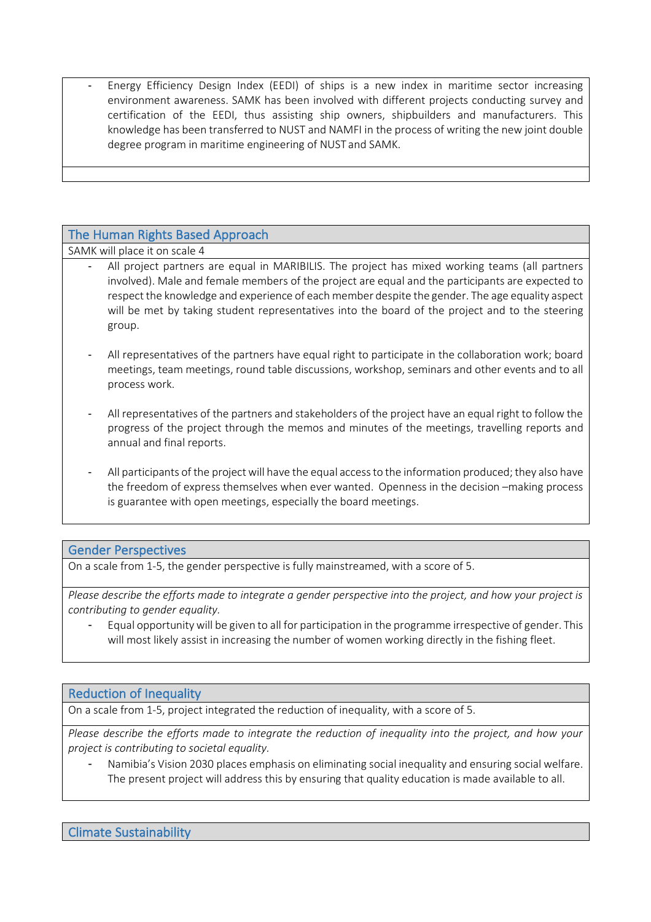Energy Efficiency Design Index (EEDI) of ships is a new index in maritime sector increasing environment awareness. SAMK has been involved with different projects conducting survey and certification of the EEDI, thus assisting ship owners, shipbuilders and manufacturers. This knowledge has been transferred to NUST and NAMFI in the process of writing the new joint double degree program in maritime engineering of NUST and SAMK.

#### The Human Rights Based Approach

SAMK will place it on scale 4

- All project partners are equal in MARIBILIS. The project has mixed working teams (all partners involved). Male and female members of the project are equal and the participants are expected to respect the knowledge and experience of each member despite the gender. The age equality aspect will be met by taking student representatives into the board of the project and to the steering group.
- All representatives of the partners have equal right to participate in the collaboration work; board meetings, team meetings, round table discussions, workshop, seminars and other events and to all process work.
- All representatives of the partners and stakeholders of the project have an equal right to follow the progress of the project through the memos and minutes of the meetings, travelling reports and annual and final reports.
- All participants of the project will have the equal access to the information produced; they also have the freedom of express themselves when ever wanted. Openness in the decision –making process is guarantee with open meetings, especially the board meetings.

#### Gender Perspectives

On a scale from 1-5, the gender perspective is fully mainstreamed, with a score of 5.

*Please describe the efforts made to integrate a gender perspective into the project, and how your project is contributing to gender equality.*

- Equal opportunity will be given to all for participation in the programme irrespective of gender. This will most likely assist in increasing the number of women working directly in the fishing fleet.

#### Reduction of Inequality

On a scale from 1-5, project integrated the reduction of inequality, with a score of 5.

*Please describe the efforts made to integrate the reduction of inequality into the project, and how your project is contributing to societal equality.*

Namibia's Vision 2030 places emphasis on eliminating social inequality and ensuring social welfare. The present project will address this by ensuring that quality education is made available to all.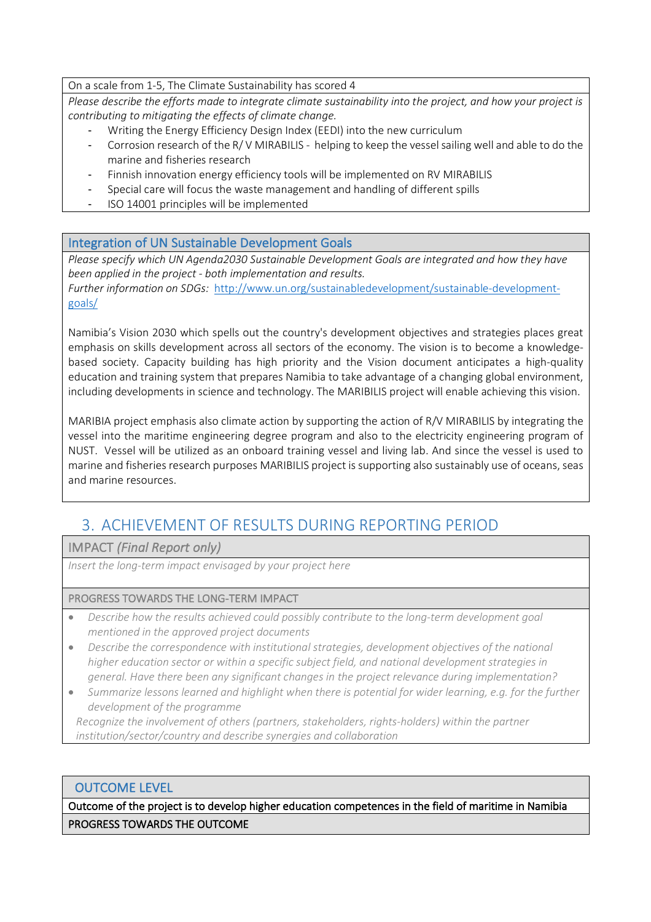On a scale from 1-5, The Climate Sustainability has scored 4

*Please describe the efforts made to integrate climate sustainability into the project, and how your project is contributing to mitigating the effects of climate change.*

- Writing the Energy Efficiency Design Index (EEDI) into the new curriculum
- Corrosion research of the R/ V MIRABILIS helping to keep the vessel sailing well and able to do the marine and fisheries research
- Finnish innovation energy efficiency tools will be implemented on RV MIRABILIS
- Special care will focus the waste management and handling of different spills
- ISO 14001 principles will be implemented

#### Integration of UN Sustainable Development Goals

*Please specify which UN Agenda2030 Sustainable Development Goals are integrated and how they have been applied in the project - both implementation and results.* 

*Further information on SDGs:* http://www.un.org/sustainabledevelopment/sustainable-developmentgoals/

Namibia's Vision 2030 which spells out the country's development objectives and strategies places great emphasis on skills development across all sectors of the economy. The vision is to become a knowledgebased society. Capacity building has high priority and the Vision document anticipates a high-quality education and training system that prepares Namibia to take advantage of a changing global environment, including developments in science and technology. The MARIBILIS project will enable achieving this vision.

MARIBIA project emphasis also climate action by supporting the action of R/V MIRABILIS by integrating the vessel into the maritime engineering degree program and also to the electricity engineering program of NUST. Vessel will be utilized as an onboard training vessel and living lab. And since the vessel is used to marine and fisheries research purposes MARIBILIS project is supporting also sustainably use of oceans, seas and marine resources.

### 3. ACHIEVEMENT OF RESULTS DURING REPORTING PERIOD

IMPACT *(Final Report only)*

*Insert the long-term impact envisaged by your project here*

#### PROGRESS TOWARDS THE LONG-TERM IMPACT

- *Describe how the results achieved could possibly contribute to the long-term development goal mentioned in the approved project documents*
- *Describe the correspondence with institutional strategies, development objectives of the national higher education sector or within a specific subject field, and national development strategies in general. Have there been any significant changes in the project relevance during implementation?*
- *Summarize lessons learned and highlight when there is potential for wider learning, e.g. for the further development of the programme*

*Recognize the involvement of others (partners, stakeholders, rights-holders) within the partner institution/sector/country and describe synergies and collaboration*

#### OUTCOME LEVEL

Outcome of the project is to develop higher education competences in the field of maritime in Namibia PROGRESS TOWARDS THE OUTCOME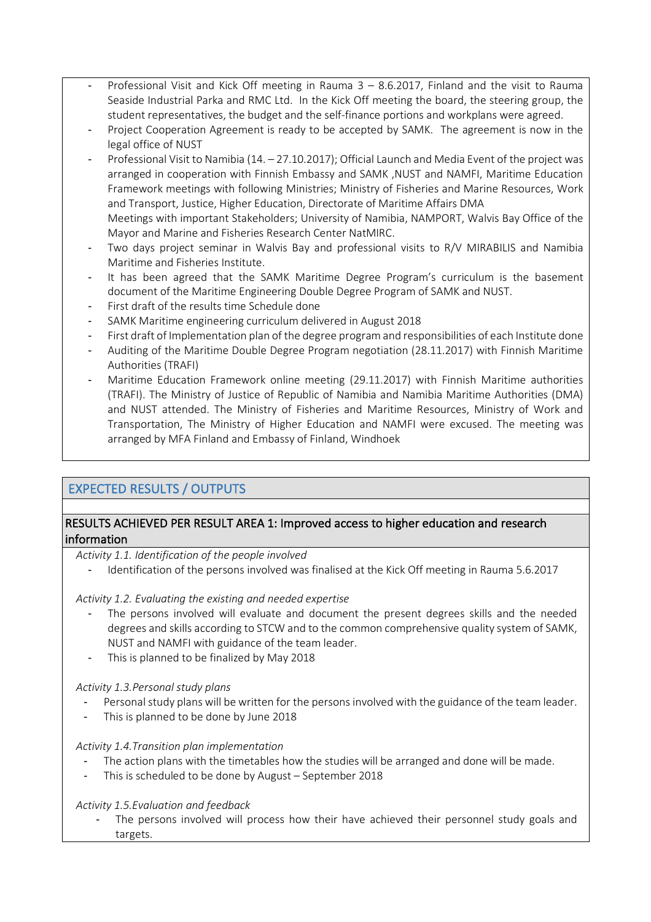- Professional Visit and Kick Off meeting in Rauma  $3 8.6.2017$ , Finland and the visit to Rauma Seaside Industrial Parka and RMC Ltd. In the Kick Off meeting the board, the steering group, the student representatives, the budget and the self-finance portions and workplans were agreed.
- Project Cooperation Agreement is ready to be accepted by SAMK. The agreement is now in the legal office of NUST
- Professional Visit to Namibia (14. 27.10.2017); Official Launch and Media Event of the project was arranged in cooperation with Finnish Embassy and SAMK ,NUST and NAMFI, Maritime Education Framework meetings with following Ministries; Ministry of Fisheries and Marine Resources, Work and Transport, Justice, Higher Education, Directorate of Maritime Affairs DMA Meetings with important Stakeholders; University of Namibia, NAMPORT, Walvis Bay Office of the Mayor and Marine and Fisheries Research Center NatMIRC.
- Two days project seminar in Walvis Bay and professional visits to R/V MIRABILIS and Namibia Maritime and Fisheries Institute.
- It has been agreed that the SAMK Maritime Degree Program's curriculum is the basement document of the Maritime Engineering Double Degree Program of SAMK and NUST.
- First draft of the results time Schedule done
- SAMK Maritime engineering curriculum delivered in August 2018
- First draft of Implementation plan of the degree program and responsibilities of each Institute done
- Auditing of the Maritime Double Degree Program negotiation (28.11.2017) with Finnish Maritime Authorities (TRAFI)
- Maritime Education Framework online meeting (29.11.2017) with Finnish Maritime authorities (TRAFI). The Ministry of Justice of Republic of Namibia and Namibia Maritime Authorities (DMA) and NUST attended. The Ministry of Fisheries and Maritime Resources, Ministry of Work and Transportation, The Ministry of Higher Education and NAMFI were excused. The meeting was arranged by MFA Finland and Embassy of Finland, Windhoek

#### EXPECTED RESULTS / OUTPUTS

#### RESULTS ACHIEVED PER RESULT AREA 1: Improved access to higher education and research information

*Activity 1.1. Identification of the people involved*

Identification of the persons involved was finalised at the Kick Off meeting in Rauma 5.6.2017

#### *Activity 1.2. Evaluating the existing and needed expertise*

- The persons involved will evaluate and document the present degrees skills and the needed degrees and skills according to STCW and to the common comprehensive quality system of SAMK, NUST and NAMFI with guidance of the team leader.
- This is planned to be finalized by May 2018

#### *Activity 1.3.Personal study plans*

- Personal study plans will be written for the persons involved with the guidance of the team leader.
- This is planned to be done by June 2018

#### *Activity 1.4.Transition plan implementation*

- The action plans with the timetables how the studies will be arranged and done will be made.
- This is scheduled to be done by August September 2018

#### *Activity 1.5.Evaluation and feedback*

The persons involved will process how their have achieved their personnel study goals and targets.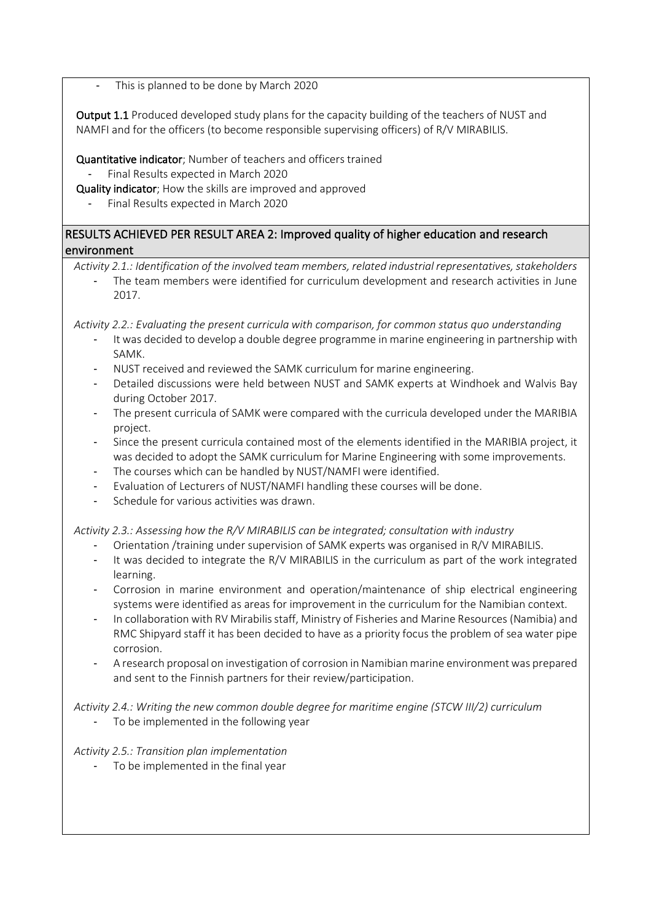This is planned to be done by March 2020

Output 1.1 Produced developed study plans for the capacity building of the teachers of NUST and NAMFI and for the officers (to become responsible supervising officers) of R/V MIRABILIS.

Quantitative indicator; Number of teachers and officers trained

- Final Results expected in March 2020
- Quality indicator; How the skills are improved and approved
	- Final Results expected in March 2020

RESULTS ACHIEVED PER RESULT AREA 2: Improved quality of higher education and research environment

*Activity 2.1.: Identification of the involved team members, related industrial representatives, stakeholders* 

The team members were identified for curriculum development and research activities in June 2017.

*Activity 2.2.: Evaluating the present curricula with comparison, for common status quo understanding* 

- It was decided to develop a double degree programme in marine engineering in partnership with SAMK.
- NUST received and reviewed the SAMK curriculum for marine engineering.
- Detailed discussions were held between NUST and SAMK experts at Windhoek and Walvis Bay during October 2017.
- The present curricula of SAMK were compared with the curricula developed under the MARIBIA project.
- Since the present curricula contained most of the elements identified in the MARIBIA project, it was decided to adopt the SAMK curriculum for Marine Engineering with some improvements.
- The courses which can be handled by NUST/NAMFI were identified.
- Evaluation of Lecturers of NUST/NAMFI handling these courses will be done.
- Schedule for various activities was drawn.

*Activity 2.3.: Assessing how the R/V MIRABILIS can be integrated; consultation with industry* 

- Orientation /training under supervision of SAMK experts was organised in R/V MIRABILIS.
- It was decided to integrate the R/V MIRABILIS in the curriculum as part of the work integrated learning.
- Corrosion in marine environment and operation/maintenance of ship electrical engineering systems were identified as areas for improvement in the curriculum for the Namibian context.
- In collaboration with RV Mirabilis staff, Ministry of Fisheries and Marine Resources (Namibia) and RMC Shipyard staff it has been decided to have as a priority focus the problem of sea water pipe corrosion.
- A research proposal on investigation of corrosion in Namibian marine environment was prepared and sent to the Finnish partners for their review/participation.

*Activity 2.4.: Writing the new common double degree for maritime engine (STCW III/2) curriculum* 

To be implemented in the following year

*Activity 2.5.: Transition plan implementation* 

To be implemented in the final year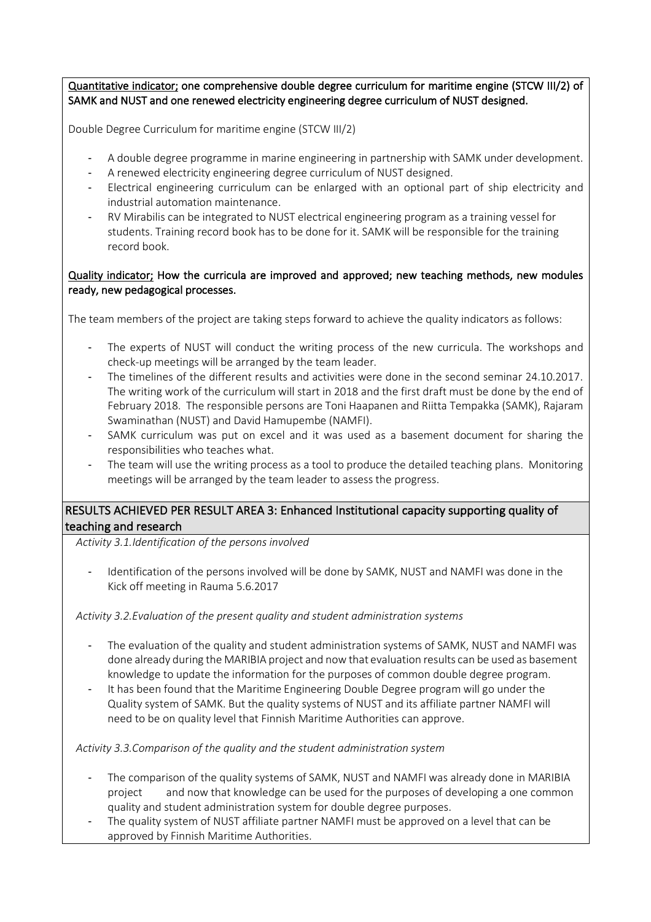Quantitative indicator; one comprehensive double degree curriculum for maritime engine (STCW III/2) of SAMK and NUST and one renewed electricity engineering degree curriculum of NUST designed.

Double Degree Curriculum for maritime engine (STCW III/2)

- A double degree programme in marine engineering in partnership with SAMK under development.
- A renewed electricity engineering degree curriculum of NUST designed.
- Electrical engineering curriculum can be enlarged with an optional part of ship electricity and industrial automation maintenance.
- RV Mirabilis can be integrated to NUST electrical engineering program as a training vessel for students. Training record book has to be done for it. SAMK will be responsible for the training record book.

#### Quality indicator; How the curricula are improved and approved; new teaching methods, new modules ready, new pedagogical processes.

The team members of the project are taking steps forward to achieve the quality indicators as follows:

- The experts of NUST will conduct the writing process of the new curricula. The workshops and check-up meetings will be arranged by the team leader.
- The timelines of the different results and activities were done in the second seminar 24.10.2017. The writing work of the curriculum will start in 2018 and the first draft must be done by the end of February 2018. The responsible persons are Toni Haapanen and Riitta Tempakka (SAMK), Rajaram Swaminathan (NUST) and David Hamupembe (NAMFI).
- SAMK curriculum was put on excel and it was used as a basement document for sharing the responsibilities who teaches what.
- The team will use the writing process as a tool to produce the detailed teaching plans. Monitoring meetings will be arranged by the team leader to assess the progress.

#### RESULTS ACHIEVED PER RESULT AREA 3: Enhanced Institutional capacity supporting quality of teaching and research

*Activity 3.1.Identification of the persons involved*

Identification of the persons involved will be done by SAMK, NUST and NAMFI was done in the Kick off meeting in Rauma 5.6.2017

*Activity 3.2.Evaluation of the present quality and student administration systems* 

- The evaluation of the quality and student administration systems of SAMK, NUST and NAMFI was done already during the MARIBIA project and now that evaluation results can be used as basement knowledge to update the information for the purposes of common double degree program.
- It has been found that the Maritime Engineering Double Degree program will go under the Quality system of SAMK. But the quality systems of NUST and its affiliate partner NAMFI will need to be on quality level that Finnish Maritime Authorities can approve.

*Activity 3.3.Comparison of the quality and the student administration system*

- The comparison of the quality systems of SAMK, NUST and NAMFI was already done in MARIBIA project and now that knowledge can be used for the purposes of developing a one common quality and student administration system for double degree purposes.
- The quality system of NUST affiliate partner NAMFI must be approved on a level that can be approved by Finnish Maritime Authorities.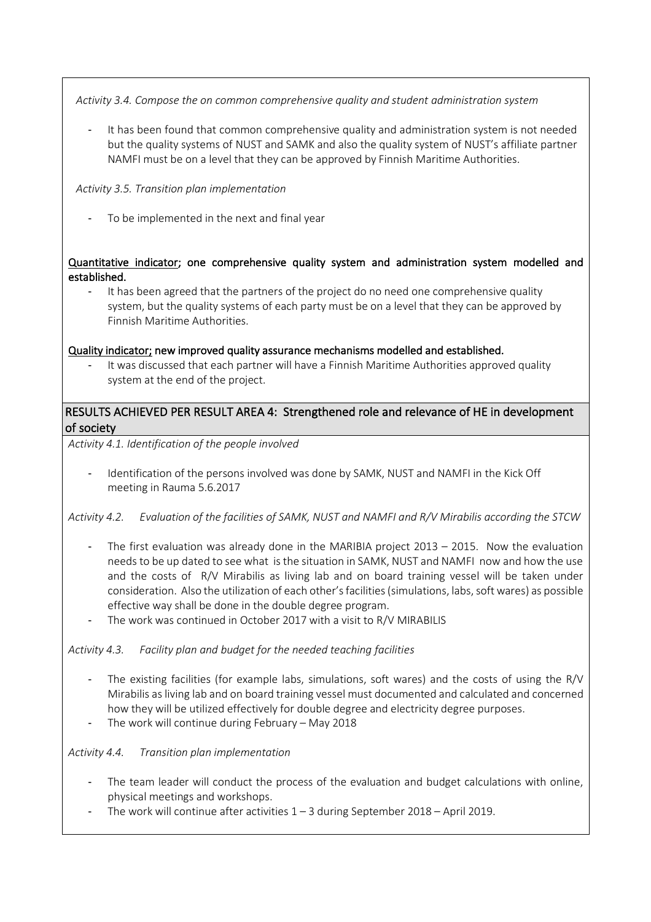*Activity 3.4. Compose the on common comprehensive quality and student administration system*

It has been found that common comprehensive quality and administration system is not needed but the quality systems of NUST and SAMK and also the quality system of NUST's affiliate partner NAMFI must be on a level that they can be approved by Finnish Maritime Authorities.

*Activity 3.5. Transition plan implementation*

To be implemented in the next and final year

Quantitative indicator; one comprehensive quality system and administration system modelled and established.

It has been agreed that the partners of the project do no need one comprehensive quality system, but the quality systems of each party must be on a level that they can be approved by Finnish Maritime Authorities.

#### Quality indicator; new improved quality assurance mechanisms modelled and established.

It was discussed that each partner will have a Finnish Maritime Authorities approved quality system at the end of the project.

#### RESULTS ACHIEVED PER RESULT AREA 4: Strengthened role and relevance of HE in development of society

*Activity 4.1. Identification of the people involved*

- Identification of the persons involved was done by SAMK, NUST and NAMFI in the Kick Off meeting in Rauma 5.6.2017

*Activity 4.2. Evaluation of the facilities of SAMK, NUST and NAMFI and R/V Mirabilis according the STCW*

- The first evaluation was already done in the MARIBIA project  $2013 2015$ . Now the evaluation needs to be up dated to see what is the situation in SAMK, NUST and NAMFI now and how the use and the costs of R/V Mirabilis as living lab and on board training vessel will be taken under consideration. Also the utilization of each other's facilities (simulations, labs, soft wares) as possible effective way shall be done in the double degree program.
- The work was continued in October 2017 with a visit to R/V MIRABILIS

*Activity 4.3. Facility plan and budget for the needed teaching facilities*

- The existing facilities (for example labs, simulations, soft wares) and the costs of using the  $R/V$ Mirabilis as living lab and on board training vessel must documented and calculated and concerned how they will be utilized effectively for double degree and electricity degree purposes.
- The work will continue during February May 2018

*Activity 4.4. Transition plan implementation*

- The team leader will conduct the process of the evaluation and budget calculations with online, physical meetings and workshops.
- The work will continue after activities  $1 3$  during September 2018 April 2019.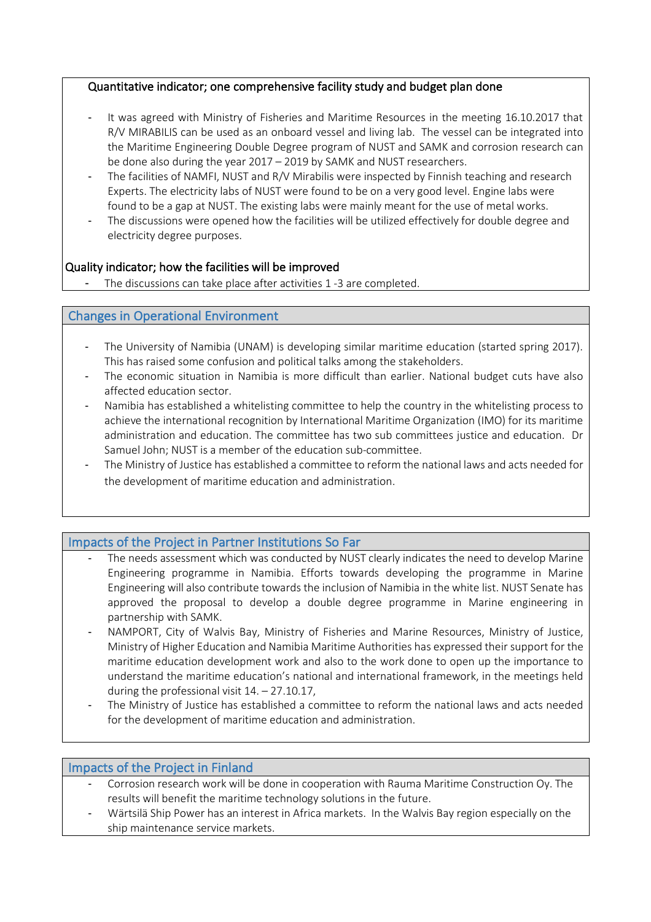#### Quantitative indicator; one comprehensive facility study and budget plan done

- It was agreed with Ministry of Fisheries and Maritime Resources in the meeting 16.10.2017 that R/V MIRABILIS can be used as an onboard vessel and living lab. The vessel can be integrated into the Maritime Engineering Double Degree program of NUST and SAMK and corrosion research can be done also during the year 2017 – 2019 by SAMK and NUST researchers.
- The facilities of NAMFI, NUST and R/V Mirabilis were inspected by Finnish teaching and research Experts. The electricity labs of NUST were found to be on a very good level. Engine labs were found to be a gap at NUST. The existing labs were mainly meant for the use of metal works.
- The discussions were opened how the facilities will be utilized effectively for double degree and electricity degree purposes.

#### Quality indicator; how the facilities will be improved

The discussions can take place after activities 1 -3 are completed.

#### Changes in Operational Environment

- The University of Namibia (UNAM) is developing similar maritime education (started spring 2017). This has raised some confusion and political talks among the stakeholders.
- The economic situation in Namibia is more difficult than earlier. National budget cuts have also affected education sector.
- Namibia has established a whitelisting committee to help the country in the whitelisting process to achieve the international recognition by International Maritime Organization (IMO) for its maritime administration and education. The committee has two sub committees justice and education. Dr Samuel John; NUST is a member of the education sub-committee.
- The Ministry of Justice has established a committee to reform the national laws and acts needed for the development of maritime education and administration.

#### Impacts of the Project in Partner Institutions So Far

- The needs assessment which was conducted by NUST clearly indicates the need to develop Marine Engineering programme in Namibia. Efforts towards developing the programme in Marine Engineering will also contribute towards the inclusion of Namibia in the white list. NUST Senate has approved the proposal to develop a double degree programme in Marine engineering in partnership with SAMK.
- NAMPORT, City of Walvis Bay, Ministry of Fisheries and Marine Resources, Ministry of Justice, Ministry of Higher Education and Namibia Maritime Authorities has expressed their support for the maritime education development work and also to the work done to open up the importance to understand the maritime education's national and international framework, in the meetings held during the professional visit 14. – 27.10.17,
- The Ministry of Justice has established a committee to reform the national laws and acts needed for the development of maritime education and administration.

#### Impacts of the Project in Finland

- Corrosion research work will be done in cooperation with Rauma Maritime Construction Oy. The results will benefit the maritime technology solutions in the future.
- Wärtsilä Ship Power has an interest in Africa markets. In the Walvis Bay region especially on the ship maintenance service markets.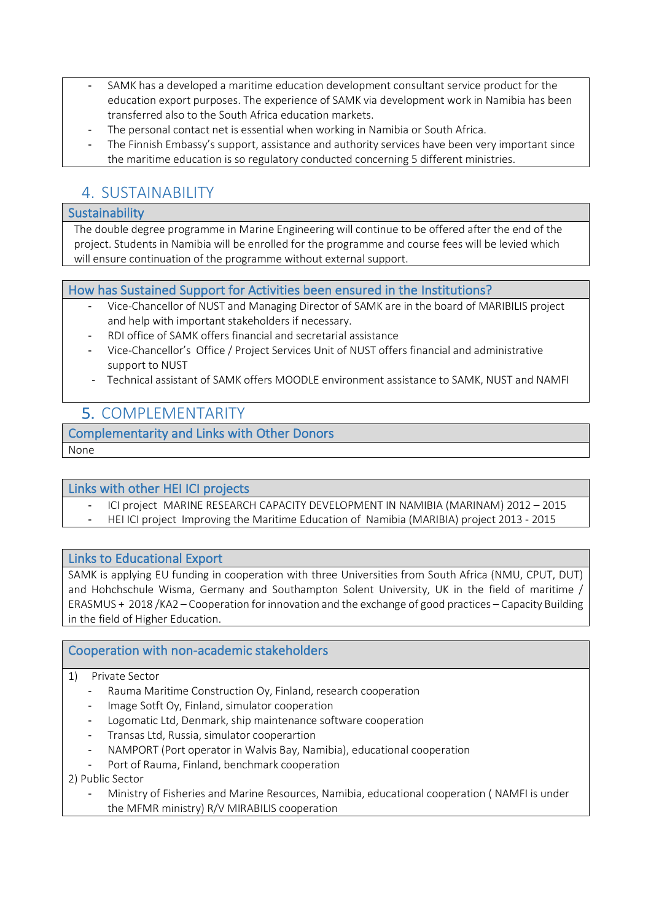- SAMK has a developed a maritime education development consultant service product for the education export purposes. The experience of SAMK via development work in Namibia has been transferred also to the South Africa education markets.
- The personal contact net is essential when working in Namibia or South Africa.
- The Finnish Embassy's support, assistance and authority services have been very important since the maritime education is so regulatory conducted concerning 5 different ministries.

### 4. SUSTAINABILITY

#### **Sustainability**

The double degree programme in Marine Engineering will continue to be offered after the end of the project. Students in Namibia will be enrolled for the programme and course fees will be levied which will ensure continuation of the programme without external support.

#### How has Sustained Support for Activities been ensured in the Institutions?

- Vice-Chancellor of NUST and Managing Director of SAMK are in the board of MARIBILIS project and help with important stakeholders if necessary.
- RDI office of SAMK offers financial and secretarial assistance
- Vice-Chancellor's Office / Project Services Unit of NUST offers financial and administrative support to NUST
- Technical assistant of SAMK offers MOODLE environment assistance to SAMK, NUST and NAMFI

### 5. COMPLEMENTARITY

#### Complementarity and Links with Other Donors

None

#### Links with other HEI ICI projects

- ICI project MARINE RESEARCH CAPACITY DEVELOPMENT IN NAMIBIA (MARINAM) 2012 2015
- HEI ICI project Improving the Maritime Education of Namibia (MARIBIA) project 2013 2015

#### Links to Educational Export

SAMK is applying EU funding in cooperation with three Universities from South Africa (NMU, CPUT, DUT) and Hohchschule Wisma, Germany and Southampton Solent University, UK in the field of maritime / ERASMUS + 2018 /KA2 – Cooperation for innovation and the exchange of good practices – Capacity Building in the field of Higher Education.

#### Cooperation with non-academic stakeholders

- 1) Private Sector
	- Rauma Maritime Construction Oy, Finland, research cooperation
	- Image Sotft Oy, Finland, simulator cooperation
	- Logomatic Ltd, Denmark, ship maintenance software cooperation
	- Transas Ltd, Russia, simulator cooperartion
	- NAMPORT (Port operator in Walvis Bay, Namibia), educational cooperation
	- Port of Rauma, Finland, benchmark cooperation

2) Public Sector

- Ministry of Fisheries and Marine Resources, Namibia, educational cooperation ( NAMFI is under the MFMR ministry) R/V MIRABILIS cooperation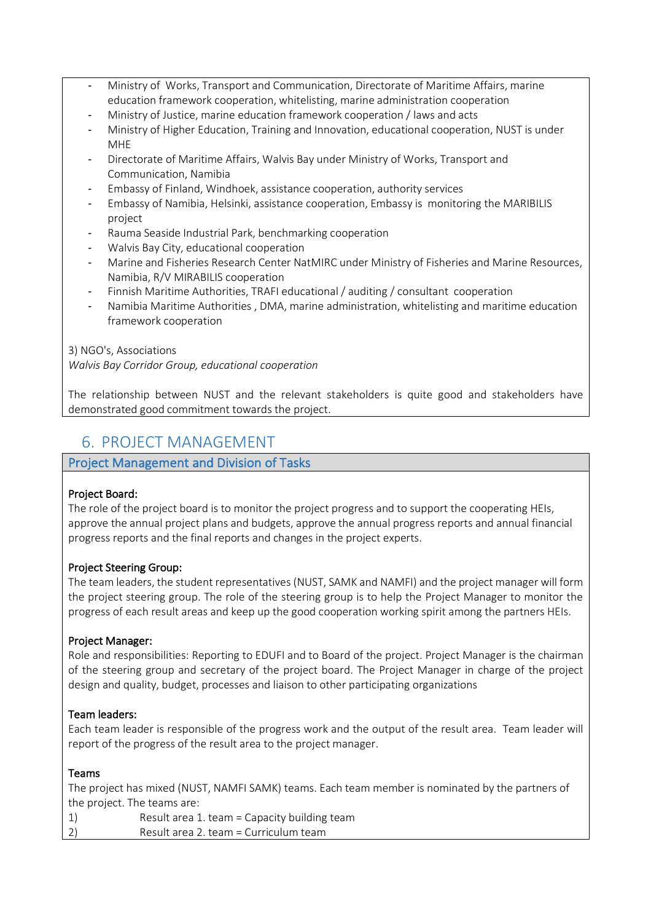- Ministry of Works, Transport and Communication, Directorate of Maritime Affairs, marine education framework cooperation, whitelisting, marine administration cooperation
- Ministry of Justice, marine education framework cooperation / laws and acts
- Ministry of Higher Education, Training and Innovation, educational cooperation, NUST is under MHE
- Directorate of Maritime Affairs, Walvis Bay under Ministry of Works, Transport and Communication, Namibia
- Embassy of Finland, Windhoek, assistance cooperation, authority services
- Embassy of Namibia, Helsinki, assistance cooperation, Embassy is monitoring the MARIBILIS project
- Rauma Seaside Industrial Park, benchmarking cooperation
- Walvis Bay City, educational cooperation
- Marine and Fisheries Research Center NatMIRC under Ministry of Fisheries and Marine Resources, Namibia, R/V MIRABILIS cooperation
- Finnish Maritime Authorities, TRAFI educational / auditing / consultant cooperation
- Namibia Maritime Authorities , DMA, marine administration, whitelisting and maritime education framework cooperation

#### 3) NGO's, Associations

*Walvis Bay Corridor Group, educational cooperation*

The relationship between NUST and the relevant stakeholders is quite good and stakeholders have demonstrated good commitment towards the project.

### 6. PROJECT MANAGEMENT

#### Project Management and Division of Tasks

#### Project Board:

The role of the project board is to monitor the project progress and to support the cooperating HEIs, approve the annual project plans and budgets, approve the annual progress reports and annual financial progress reports and the final reports and changes in the project experts.

#### Project Steering Group:

The team leaders, the student representatives (NUST, SAMK and NAMFI) and the project manager will form the project steering group. The role of the steering group is to help the Project Manager to monitor the progress of each result areas and keep up the good cooperation working spirit among the partners HEIs.

#### Project Manager:

Role and responsibilities: Reporting to EDUFI and to Board of the project. Project Manager is the chairman of the steering group and secretary of the project board. The Project Manager in charge of the project design and quality, budget, processes and liaison to other participating organizations

#### Team leaders:

Each team leader is responsible of the progress work and the output of the result area. Team leader will report of the progress of the result area to the project manager.

#### Teams

The project has mixed (NUST, NAMFI SAMK) teams. Each team member is nominated by the partners of the project. The teams are:

- 1) Result area 1. team = Capacity building team
- 2) Result area 2. team = Curriculum team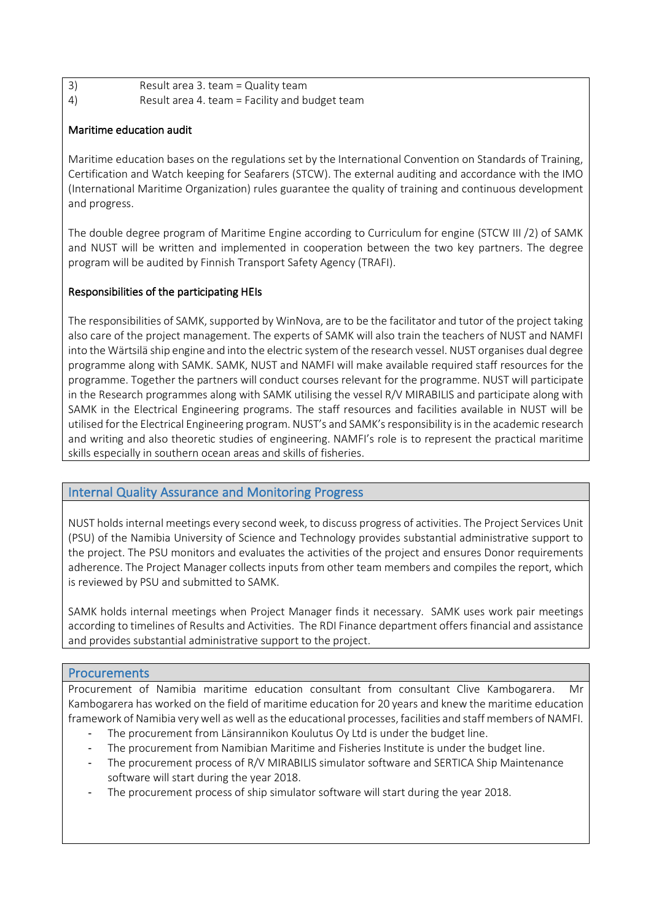3) Result area 3. team = Quality team 4) Result area 4. team = Facility and budget team

#### Maritime education audit

Maritime education bases on the regulations set by the International Convention on Standards of Training, Certification and Watch keeping for Seafarers (STCW). The external auditing and accordance with the IMO (International Maritime Organization) rules guarantee the quality of training and continuous development and progress.

The double degree program of Maritime Engine according to Curriculum for engine (STCW III /2) of SAMK and NUST will be written and implemented in cooperation between the two key partners. The degree program will be audited by Finnish Transport Safety Agency (TRAFI).

#### Responsibilities of the participating HEIs

The responsibilities of SAMK, supported by WinNova, are to be the facilitator and tutor of the project taking also care of the project management. The experts of SAMK will also train the teachers of NUST and NAMFI into the Wärtsilä ship engine and into the electric system of the research vessel. NUST organises dual degree programme along with SAMK. SAMK, NUST and NAMFI will make available required staff resources for the programme. Together the partners will conduct courses relevant for the programme. NUST will participate in the Research programmes along with SAMK utilising the vessel R/V MIRABILIS and participate along with SAMK in the Electrical Engineering programs. The staff resources and facilities available in NUST will be utilised for the Electrical Engineering program. NUST's and SAMK's responsibility is in the academic research and writing and also theoretic studies of engineering. NAMFI's role is to represent the practical maritime skills especially in southern ocean areas and skills of fisheries.

#### Internal Quality Assurance and Monitoring Progress

NUST holds internal meetings every second week, to discuss progress of activities. The Project Services Unit (PSU) of the Namibia University of Science and Technology provides substantial administrative support to the project. The PSU monitors and evaluates the activities of the project and ensures Donor requirements adherence. The Project Manager collects inputs from other team members and compiles the report, which is reviewed by PSU and submitted to SAMK.

SAMK holds internal meetings when Project Manager finds it necessary. SAMK uses work pair meetings according to timelines of Results and Activities. The RDI Finance department offers financial and assistance and provides substantial administrative support to the project.

#### Procurements

Procurement of Namibia maritime education consultant from consultant Clive Kambogarera. Mr Kambogarera has worked on the field of maritime education for 20 years and knew the maritime education framework of Namibia very well as well as the educational processes, facilities and staff members of NAMFI.

- The procurement from Länsirannikon Koulutus Oy Ltd is under the budget line.
- The procurement from Namibian Maritime and Fisheries Institute is under the budget line.
- The procurement process of R/V MIRABILIS simulator software and SERTICA Ship Maintenance software will start during the year 2018.
- The procurement process of ship simulator software will start during the year 2018.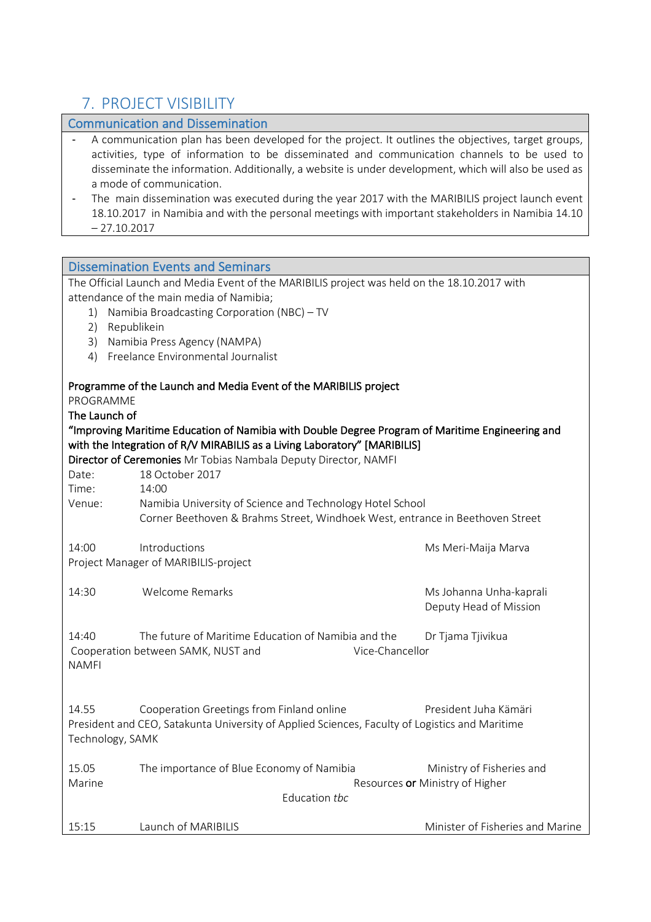### 7. PROJECT VISIBILITY

### Communication and Dissemination A communication plan has been developed for the project. It outlines the objectives, target groups, activities, type of information to be disseminated and communication channels to be used to disseminate the information. Additionally, a website is under development, which will also be used as a mode of communication. The main dissemination was executed during the year 2017 with the MARIBILIS project launch event 18.10.2017 in Namibia and with the personal meetings with important stakeholders in Namibia 14.10  $-27.10.2017$ Dissemination Events and Seminars The Official Launch and Media Event of the MARIBILIS project was held on the 18.10.2017 with attendance of the main media of Namibia; 1) Namibia Broadcasting Corporation (NBC) – TV 2) Republikein 3) Namibia Press Agency (NAMPA) 4) Freelance Environmental Journalist Programme of the Launch and Media Event of the MARIBILIS project PROGRAMME The Launch of "Improving Maritime Education of Namibia with Double Degree Program of Maritime Engineering and with the Integration of R/V MIRABILIS as a Living Laboratory" [MARIBILIS] Director of Ceremonies Mr Tobias Nambala Deputy Director, NAMFI Date: 18 October 2017 Time: 14:00 Venue: Namibia University of Science and Technology Hotel School Corner Beethoven & Brahms Street, Windhoek West, entrance in Beethoven Street 14:00 Introductions **Mars** Ms Meri-Maija Marva Project Manager of MARIBILIS-project 14:30 Welcome Remarks Ms Johanna Unha-kaprali Deputy Head of Mission 14:40 The future of Maritime Education of Namibia and the Dr Tjama Tjivikua Cooperation between SAMK, NUST and Vice-Chancellor NAMFI 14.55 Cooperation Greetings from Finland online President Juha Kämäri President and CEO, Satakunta University of Applied Sciences, Faculty of Logistics and Maritime Technology, SAMK 15.05 The importance of Blue Economy of Namibia Ministry of Fisheries and Marine **Martine Resources or Ministry of Higher** Resources **or Ministry of Higher** Education *tbc*

15:15 Launch of MARIBILIS Minister of Fisheries and Marine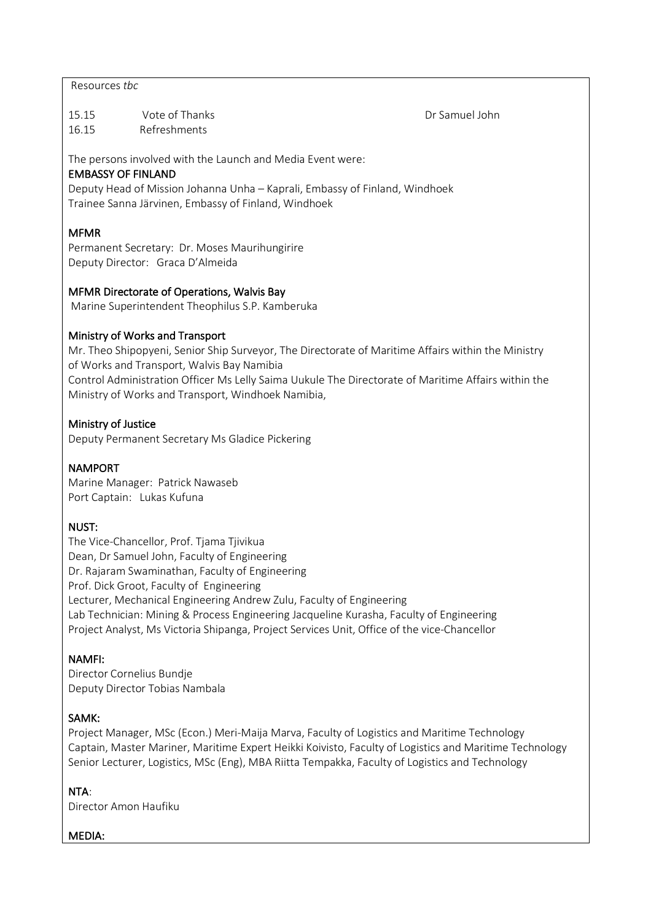#### Resources *tbc*

15.15 Vote of Thanks Dr Samuel John 16.15 Refreshments

The persons involved with the Launch and Media Event were:

#### EMBASSY OF FINLAND

Deputy Head of Mission Johanna Unha – Kaprali, Embassy of Finland, Windhoek Trainee Sanna Järvinen, Embassy of Finland, Windhoek

#### MFMR

Permanent Secretary: Dr. Moses Maurihungirire Deputy Director: Graca D'Almeida

#### MFMR Directorate of Operations, Walvis Bay

Marine Superintendent Theophilus S.P. Kamberuka

#### Ministry of Works and Transport

Mr. Theo Shipopyeni, Senior Ship Surveyor, The Directorate of Maritime Affairs within the Ministry of Works and Transport, Walvis Bay Namibia Control Administration Officer Ms Lelly Saima Uukule The Directorate of Maritime Affairs within the Ministry of Works and Transport, Windhoek Namibia,

#### Ministry of Justice

Deputy Permanent Secretary Ms Gladice Pickering

#### NAMPORT

Marine Manager: Patrick Nawaseb Port Captain: Lukas Kufuna

#### NUST:

The Vice-Chancellor, Prof. Tjama Tjivikua Dean, Dr Samuel John, Faculty of Engineering Dr. Rajaram Swaminathan, Faculty of Engineering Prof. Dick Groot, Faculty of Engineering Lecturer, Mechanical Engineering Andrew Zulu, Faculty of Engineering Lab Technician: Mining & Process Engineering Jacqueline Kurasha, Faculty of Engineering Project Analyst, Ms Victoria Shipanga, Project Services Unit, Office of the vice-Chancellor

#### NAMFI:

Director Cornelius Bundje Deputy Director Tobias Nambala

#### SAMK:

Project Manager, MSc (Econ.) Meri-Maija Marva, Faculty of Logistics and Maritime Technology Captain, Master Mariner, Maritime Expert Heikki Koivisto, Faculty of Logistics and Maritime Technology Senior Lecturer, Logistics, MSc (Eng), MBA Riitta Tempakka, Faculty of Logistics and Technology

#### NTA:

Director Amon Haufiku

#### MEDIA: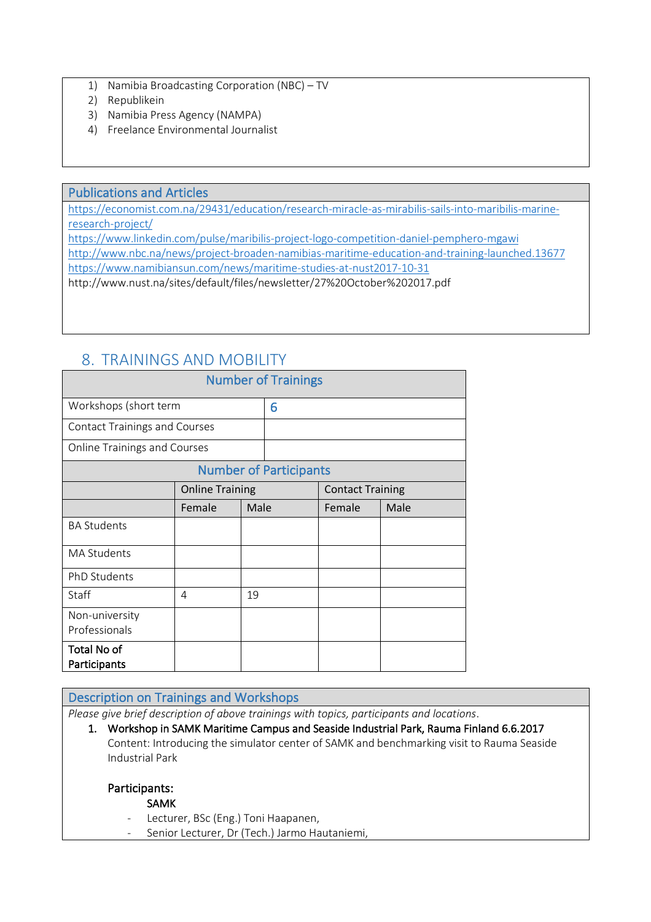- 1) Namibia Broadcasting Corporation (NBC) TV
- 2) Republikein
- 3) Namibia Press Agency (NAMPA)
- 4) Freelance Environmental Journalist

#### Publications and Articles

https://economist.com.na/29431/education/research-miracle-as-mirabilis-sails-into-maribilis-marineresearch-project/

https://www.linkedin.com/pulse/maribilis-project-logo-competition-daniel-pemphero-mgawi http://www.nbc.na/news/project-broaden-namibias-maritime-education-and-training-launched.13677 https://www.namibiansun.com/news/maritime-studies-at-nust2017-10-31 http://www.nust.na/sites/default/files/newsletter/27%20October%202017.pdf

### 8. TRAININGS AND MOBILITY

| <b>Number of Trainings</b>           |                               |      |   |                         |      |  |
|--------------------------------------|-------------------------------|------|---|-------------------------|------|--|
| Workshops (short term                |                               |      | 6 |                         |      |  |
| <b>Contact Trainings and Courses</b> |                               |      |   |                         |      |  |
| <b>Online Trainings and Courses</b>  |                               |      |   |                         |      |  |
|                                      | <b>Number of Participants</b> |      |   |                         |      |  |
| <b>Online Training</b>               |                               |      |   | <b>Contact Training</b> |      |  |
|                                      | Female                        | Male |   | Female                  | Male |  |
| <b>BA Students</b>                   |                               |      |   |                         |      |  |
| <b>MA Students</b>                   |                               |      |   |                         |      |  |
| <b>PhD Students</b>                  |                               |      |   |                         |      |  |
| Staff                                | 4                             | 19   |   |                         |      |  |
| Non-university<br>Professionals      |                               |      |   |                         |      |  |
| Total No of<br>Participants          |                               |      |   |                         |      |  |

#### Description on Trainings and Workshops

*Please give brief description of above trainings with topics, participants and locations*.

1. Workshop in SAMK Maritime Campus and Seaside Industrial Park, Rauma Finland 6.6.2017 Content: Introducing the simulator center of SAMK and benchmarking visit to Rauma Seaside Industrial Park

#### Participants:

#### SAMK

- Lecturer, BSc (Eng.) Toni Haapanen,
- Senior Lecturer, Dr (Tech.) Jarmo Hautaniemi,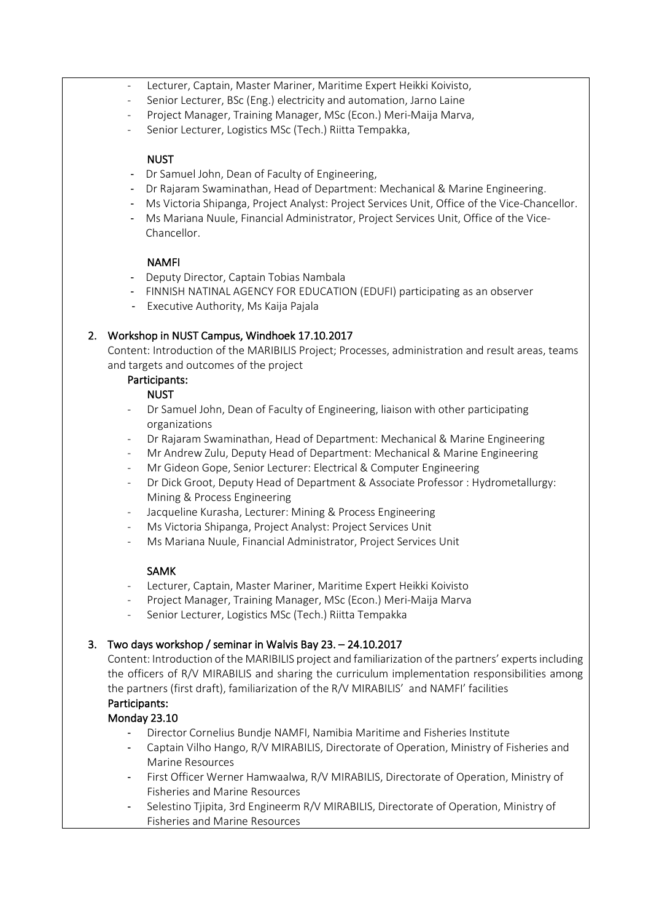- Lecturer, Captain, Master Mariner, Maritime Expert Heikki Koivisto,
- Senior Lecturer, BSc (Eng.) electricity and automation, Jarno Laine
	- Project Manager, Training Manager, MSc (Econ.) Meri-Maija Marva,
- Senior Lecturer, Logistics MSc (Tech.) Riitta Tempakka,

#### NUST

- Dr Samuel John, Dean of Faculty of Engineering,
- Dr Rajaram Swaminathan, Head of Department: Mechanical & Marine Engineering.
- Ms Victoria Shipanga, Project Analyst: Project Services Unit, Office of the Vice-Chancellor.
- Ms Mariana Nuule, Financial Administrator, Project Services Unit, Office of the Vice-Chancellor.

#### NAMFI

- Deputy Director, Captain Tobias Nambala
- FINNISH NATINAL AGENCY FOR EDUCATION (EDUFI) participating as an observer
- Executive Authority, Ms Kaija Pajala

#### 2. Workshop in NUST Campus, Windhoek 17.10.2017

Content: Introduction of the MARIBILIS Project; Processes, administration and result areas, teams and targets and outcomes of the project

#### Participants:

#### NUST

- Dr Samuel John, Dean of Faculty of Engineering, liaison with other participating organizations
- Dr Rajaram Swaminathan, Head of Department: Mechanical & Marine Engineering
- Mr Andrew Zulu, Deputy Head of Department: Mechanical & Marine Engineering
- Mr Gideon Gope, Senior Lecturer: Electrical & Computer Engineering
- Dr Dick Groot, Deputy Head of Department & Associate Professor : Hydrometallurgy: Mining & Process Engineering
- Jacqueline Kurasha, Lecturer: Mining & Process Engineering
- Ms Victoria Shipanga, Project Analyst: Project Services Unit
- Ms Mariana Nuule, Financial Administrator, Project Services Unit

#### SAMK

- Lecturer, Captain, Master Mariner, Maritime Expert Heikki Koivisto
- Project Manager, Training Manager, MSc (Econ.) Meri-Maija Marva
- Senior Lecturer, Logistics MSc (Tech.) Riitta Tempakka

#### 3. Two days workshop / seminar in Walvis Bay 23. – 24.10.2017

Content: Introduction of the MARIBILIS project and familiarization of the partners' experts including the officers of R/V MIRABILIS and sharing the curriculum implementation responsibilities among the partners (first draft), familiarization of the R/V MIRABILIS' and NAMFI' facilities

#### Participants: Monday 23.10

- Director Cornelius Bundje NAMFI, Namibia Maritime and Fisheries Institute
- Captain Vilho Hango, R/V MIRABILIS, Directorate of Operation, Ministry of Fisheries and Marine Resources
- First Officer Werner Hamwaalwa, R/V MIRABILIS, Directorate of Operation, Ministry of Fisheries and Marine Resources
- Selestino Tjipita, 3rd Engineerm R/V MIRABILIS, Directorate of Operation, Ministry of Fisheries and Marine Resources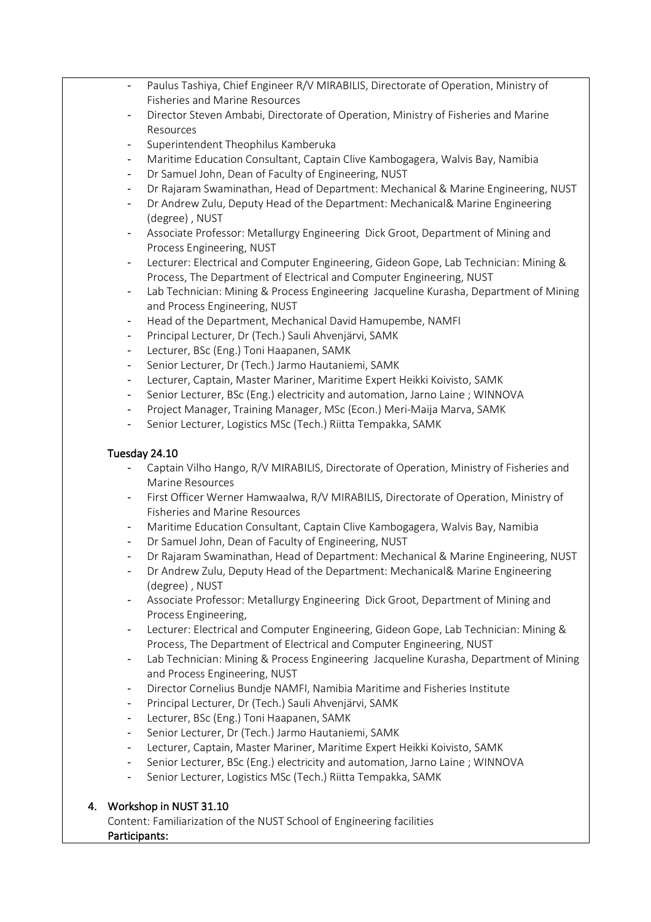- Paulus Tashiya, Chief Engineer R/V MIRABILIS, Directorate of Operation, Ministry of Fisheries and Marine Resources
- Director Steven Ambabi, Directorate of Operation, Ministry of Fisheries and Marine Resources
- Superintendent Theophilus Kamberuka
- Maritime Education Consultant, Captain Clive Kambogagera, Walvis Bay, Namibia
- Dr Samuel John, Dean of Faculty of Engineering, NUST
- Dr Rajaram Swaminathan, Head of Department: Mechanical & Marine Engineering, NUST
- Dr Andrew Zulu, Deputy Head of the Department: Mechanical& Marine Engineering (degree) , NUST
- Associate Professor: Metallurgy Engineering Dick Groot, Department of Mining and Process Engineering, NUST
- Lecturer: Electrical and Computer Engineering, Gideon Gope, Lab Technician: Mining & Process, The Department of Electrical and Computer Engineering, NUST
- Lab Technician: Mining & Process Engineering Jacqueline Kurasha, Department of Mining and Process Engineering, NUST
- Head of the Department, Mechanical David Hamupembe, NAMFI
- Principal Lecturer, Dr (Tech.) Sauli Ahvenjärvi, SAMK
- Lecturer, BSc (Eng.) Toni Haapanen, SAMK
- Senior Lecturer, Dr (Tech.) Jarmo Hautaniemi, SAMK
- Lecturer, Captain, Master Mariner, Maritime Expert Heikki Koivisto, SAMK
- Senior Lecturer, BSc (Eng.) electricity and automation, Jarno Laine ; WINNOVA
- Project Manager, Training Manager, MSc (Econ.) Meri-Maija Marva, SAMK
- Senior Lecturer, Logistics MSc (Tech.) Riitta Tempakka, SAMK

#### Tuesday 24.10

- Captain Vilho Hango, R/V MIRABILIS, Directorate of Operation, Ministry of Fisheries and Marine Resources
- First Officer Werner Hamwaalwa, R/V MIRABILIS, Directorate of Operation, Ministry of Fisheries and Marine Resources
- Maritime Education Consultant, Captain Clive Kambogagera, Walvis Bay, Namibia
- Dr Samuel John, Dean of Faculty of Engineering, NUST
- Dr Rajaram Swaminathan, Head of Department: Mechanical & Marine Engineering, NUST
- Dr Andrew Zulu, Deputy Head of the Department: Mechanical& Marine Engineering (degree) , NUST
- Associate Professor: Metallurgy Engineering Dick Groot, Department of Mining and Process Engineering,
- Lecturer: Electrical and Computer Engineering, Gideon Gope, Lab Technician: Mining & Process, The Department of Electrical and Computer Engineering, NUST
- Lab Technician: Mining & Process Engineering Jacqueline Kurasha, Department of Mining and Process Engineering, NUST
- Director Cornelius Bundje NAMFI, Namibia Maritime and Fisheries Institute
- Principal Lecturer, Dr (Tech.) Sauli Ahvenjärvi, SAMK
- Lecturer, BSc (Eng.) Toni Haapanen, SAMK
- Senior Lecturer, Dr (Tech.) Jarmo Hautaniemi, SAMK
- Lecturer, Captain, Master Mariner, Maritime Expert Heikki Koivisto, SAMK
- Senior Lecturer, BSc (Eng.) electricity and automation, Jarno Laine ; WINNOVA
- Senior Lecturer, Logistics MSc (Tech.) Riitta Tempakka, SAMK

#### 4. Workshop in NUST 31.10

Content: Familiarization of the NUST School of Engineering facilities Participants: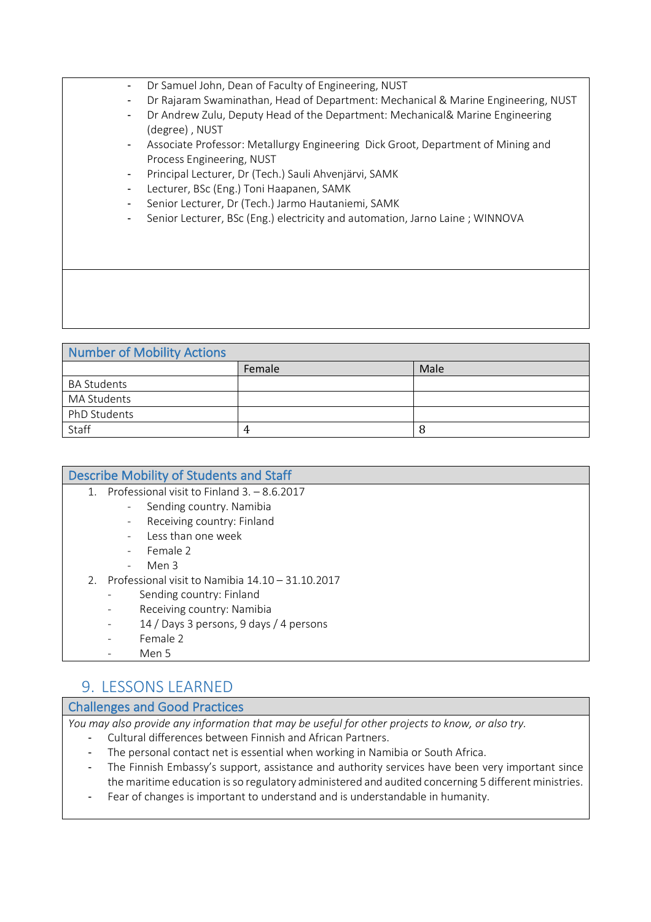- Dr Samuel John, Dean of Faculty of Engineering, NUST
- Dr Rajaram Swaminathan, Head of Department: Mechanical & Marine Engineering, NUST
- Dr Andrew Zulu, Deputy Head of the Department: Mechanical& Marine Engineering (degree) , NUST
- Associate Professor: Metallurgy Engineering Dick Groot, Department of Mining and Process Engineering, NUST
- Principal Lecturer, Dr (Tech.) Sauli Ahvenjärvi, SAMK
- Lecturer, BSc (Eng.) Toni Haapanen, SAMK
- Senior Lecturer, Dr (Tech.) Jarmo Hautaniemi, SAMK
- Senior Lecturer, BSc (Eng.) electricity and automation, Jarno Laine ; WINNOVA

| <b>Number of Mobility Actions</b> |        |      |  |  |
|-----------------------------------|--------|------|--|--|
|                                   | Female | Male |  |  |
| <b>BA Students</b>                |        |      |  |  |
| MA Students                       |        |      |  |  |
| PhD Students                      |        |      |  |  |
| Staff                             | 4      | 8    |  |  |

| <b>Describe Mobility of Students and Staff</b>                      |
|---------------------------------------------------------------------|
| Professional visit to Finland 3. - 8.6.2017<br>$\mathbf{1}_{\cdot}$ |
| Sending country. Namibia<br>-                                       |
| Receiving country: Finland<br>-                                     |
| Less than one week<br>$\overline{\phantom{a}}$                      |
| Female 2<br>$\overline{\phantom{a}}$                                |
| Men 3<br>$\qquad \qquad -$                                          |
| Professional visit to Namibia 14.10 - 31.10.2017<br>2 <sub>1</sub>  |
| Sending country: Finland<br>-                                       |
| Receiving country: Namibia<br>$\overline{\phantom{a}}$              |
| 14 / Days 3 persons, 9 days / 4 persons<br>$\overline{\phantom{a}}$ |
| Female 2                                                            |
| Men 5                                                               |

### 9. LESSONS LEARNED

#### Challenges and Good Practices

*You may also provide any information that may be useful for other projects to know, or also try.*

- Cultural differences between Finnish and African Partners.
- The personal contact net is essential when working in Namibia or South Africa.
- The Finnish Embassy's support, assistance and authority services have been very important since the maritime education is so regulatory administered and audited concerning 5 different ministries.
- Fear of changes is important to understand and is understandable in humanity.